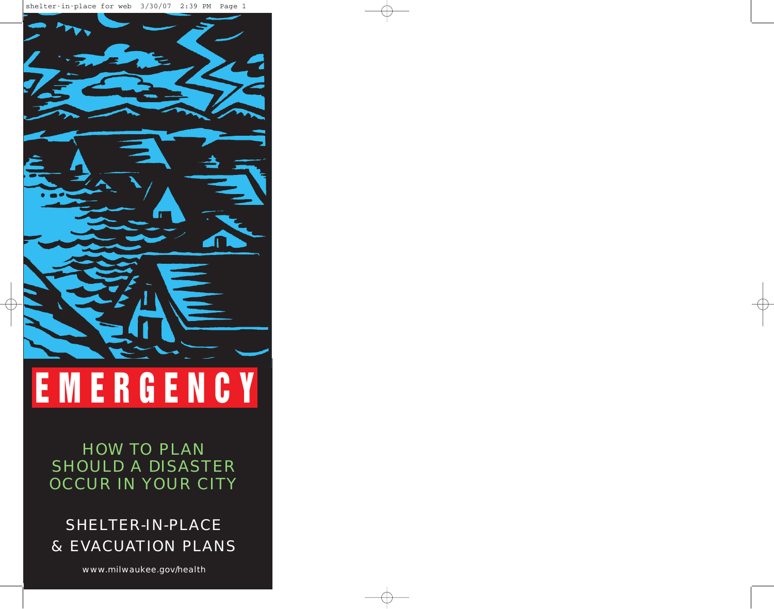

HOW TO PLAN SHOULD A DISASTER OCCUR IN YOUR CITY

# SHELTER-IN-PLACE & EVACUATION PLANS

www.milwaukee.gov/health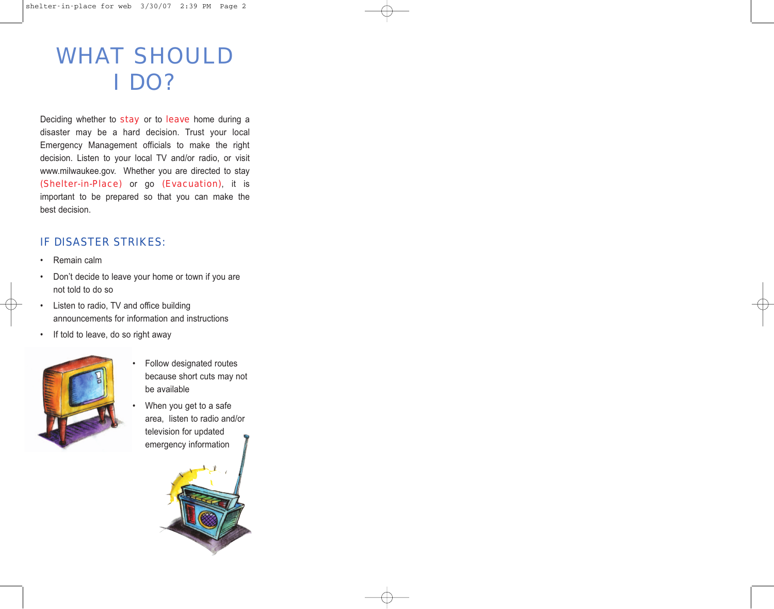# WHAT SHOULD I DO?

Deciding whether to stay or to leave home during a disaster may be a hard decision. Trust your local Emergency Management officials to make the right decision. Listen to your local TV and/or radio, or visit www.milwaukee.gov. Whether you are directed to stay (Shelter-in-Place) or go (Evacuation), it is important to be prepared so that you can make the best decision.

## IF DISASTER STRIKES:

- Remain calm
- Don't decide to leave your home or town if you are not told to do so
- Listen to radio, TV and office building announcements for information and instructions
- If told to leave, do so right away



- Follow designated routes because short cuts may not be available
- When you get to a safe area, listen to radio and/or television for updated emergency information

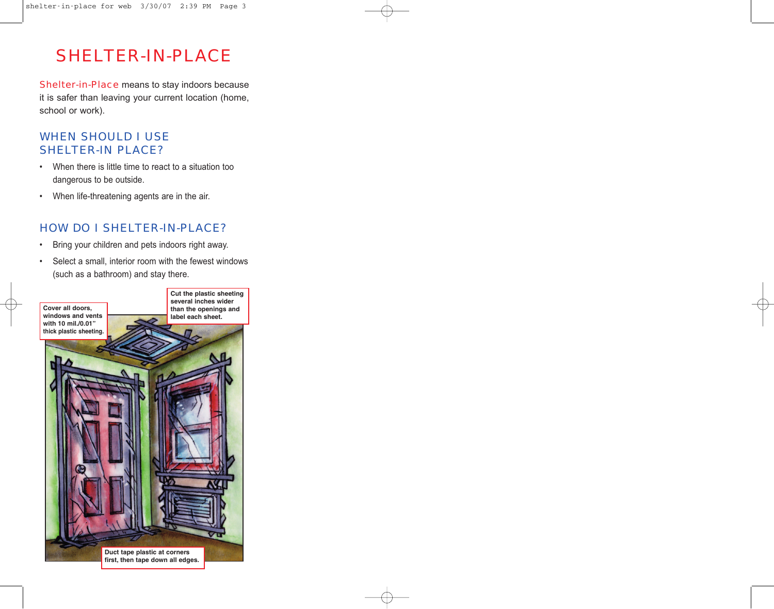# SHELTER-IN-PLACE

Shelter-in-Place means to stay indoors because it is safer than leaving your current location (home, school or work).

## WHEN SHOULD I USE SHELTER-IN PLACE?

- When there is little time to react to a situation too dangerous to be outside.
- When life-threatening agents are in the air.

## HOW DO I SHELTER-IN-PLACE?

- Bring your children and pets indoors right away.
- Select a small, interior room with the fewest windows (such as a bathroom) and stay there.

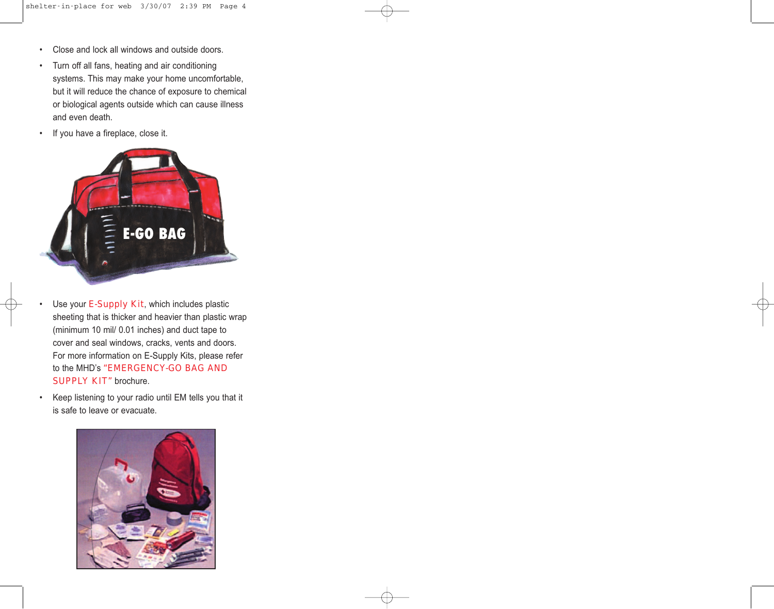- Close and lock all windows and outside doors.
- Turn off all fans, heating and air conditioning systems. This may make your home uncomfortable, but it will reduce the chance of exposure to chemical or biological agents outside which can cause illness and even death.
- If you have a fireplace, close it.



- Use your E-Supply Kit, which includes plastic sheeting that is thicker and heavier than plastic wrap (minimum 10 mil/ 0.01 inches) and duct tape to cover and seal windows, cracks, vents and doors. For more information on E-Supply Kits, please refer to the MHD's "EMERGENCY-GO BAG AND SUPPLY KIT" brochure.
- Keep listening to your radio until EM tells you that it is safe to leave or evacuate.

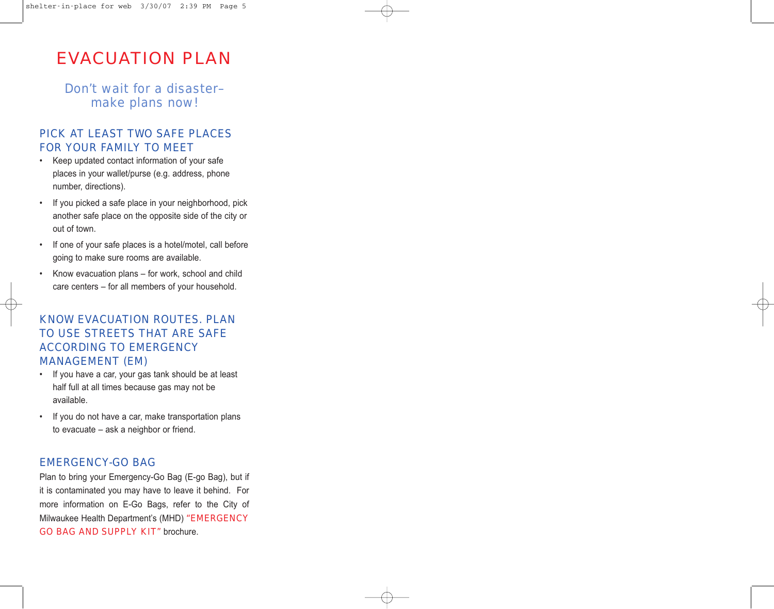# EVACUATION PLAN

Don't wait for a disaster– make plans now!

#### PICK AT LEAST TWO SAFE PLACES FOR YOUR FAMILY TO MEET

- Keep updated contact information of your safe places in your wallet/purse (e.g. address, phone number, directions).
- If you picked a safe place in your neighborhood, pick another safe place on the opposite side of the city or out of town.
- If one of your safe places is a hotel/motel, call before going to make sure rooms are available.
- Know evacuation plans for work, school and child care centers – for all members of your household.

#### KNOW EVACUATION ROUTES. PLAN TO USE STREETS THAT ARE SAFE ACCORDING TO EMERGENCY MANAGEMENT (EM)

- If you have a car, your gas tank should be at least half full at all times because gas may not be available.
- If you do not have a car, make transportation plans to evacuate – ask a neighbor or friend.

#### EMERGENCY-GO BAG

Plan to bring your Emergency-Go Bag (E-go Bag), but if it is contaminated you may have to leave it behind. For more information on E-Go Bags, refer to the City of Milwaukee Health Department's (MHD) "EMERGENCY GO BAG AND SUPPLY KIT" brochure.